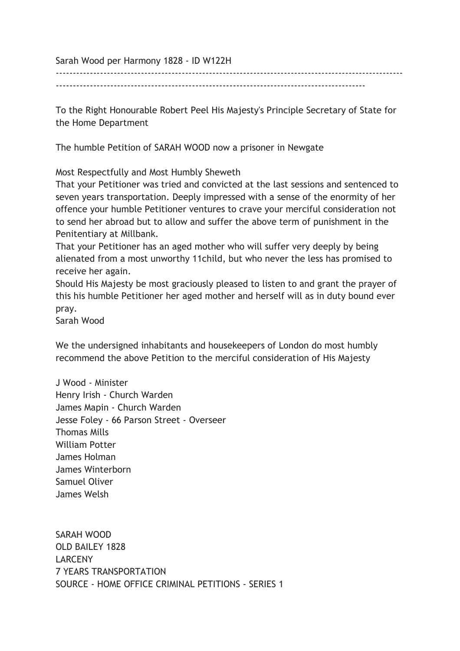Sarah Wood per Harmony 1828 - ID W122H

------------------------------------------------------------------------------------------------------ -------------------------------------------------------------------------------------------

To the Right Honourable Robert Peel His Majesty's Principle Secretary of State for

the Home Department

The humble Petition of SARAH WOOD now a prisoner in Newgate

Most Respectfully and Most Humbly Sheweth

That your Petitioner was tried and convicted at the last sessions and sentenced to seven years transportation. Deeply impressed with a sense of the enormity of her offence your humble Petitioner ventures to crave your merciful consideration not to send her abroad but to allow and suffer the above term of punishment in the Penitentiary at Millbank.

That your Petitioner has an aged mother who will suffer very deeply by being alienated from a most unworthy 11child, but who never the less has promised to receive her again.

Should His Majesty be most graciously pleased to listen to and grant the prayer of this his humble Petitioner her aged mother and herself will as in duty bound ever pray.

Sarah Wood

We the undersigned inhabitants and housekeepers of London do most humbly recommend the above Petition to the merciful consideration of His Majesty

J Wood - Minister Henry Irish - Church Warden James Mapin - Church Warden Jesse Foley - 66 Parson Street - Overseer Thomas Mills William Potter James Holman James Winterborn Samuel Oliver James Welsh

SARAH WOOD OLD BAILEY 1828 LARCENY 7 YEARS TRANSPORTATION SOURCE - HOME OFFICE CRIMINAL PETITIONS - SERIES 1